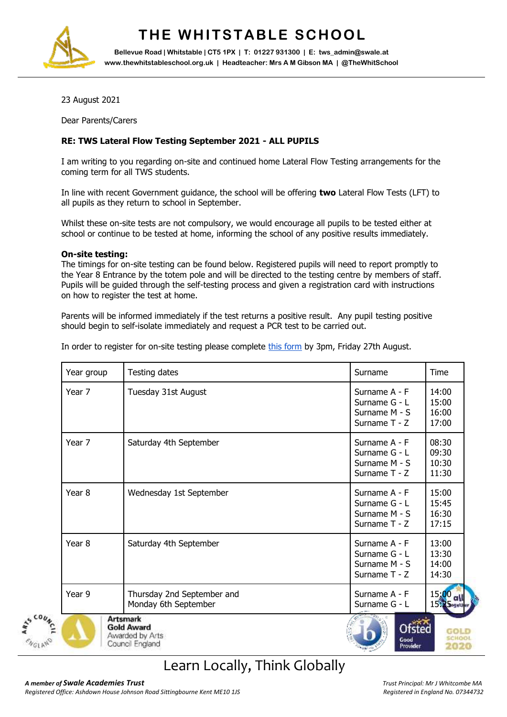

# **THE WHITSTABLE SCHOOL**

**Bellevue Road | Whitstable | CT5 1PX | T: 01227 931300 | E: tws\_admin@swale.at www.thewhitstableschool.org.uk | Headteacher: Mrs A M Gibson MA | @TheWhitSchool**

23 August 2021

Dear Parents/Carers

### **RE: TWS Lateral Flow Testing September 2021 - ALL PUPILS**

I am writing to you regarding on-site and continued home Lateral Flow Testing arrangements for the coming term for all TWS students.

In line with recent Government guidance, the school will be offering **two** Lateral Flow Tests (LFT) to all pupils as they return to school in September.

Whilst these on-site tests are not compulsory, we would encourage all pupils to be tested either at school or continue to be tested at home, informing the school of any positive results immediately.

### **On-site testing:**

The timings for on-site testing can be found below. Registered pupils will need to report promptly to the Year 8 Entrance by the totem pole and will be directed to the testing centre by members of staff. Pupils will be guided through the self-testing process and given a registration card with instructions on how to register the test at home.

Parents will be informed immediately if the test returns a positive result. Any pupil testing positive should begin to self-isolate immediately and request a PCR test to be carried out.

| In order to register for on-site testing please complete this form by 3pm, Friday 27th August. |  |  |  |  |
|------------------------------------------------------------------------------------------------|--|--|--|--|
|------------------------------------------------------------------------------------------------|--|--|--|--|

| Year group        | Testing dates                                                              | Surname                                                            | Time                             |
|-------------------|----------------------------------------------------------------------------|--------------------------------------------------------------------|----------------------------------|
| Year 7            | Tuesday 31st August                                                        | Surname A - F<br>Surname G - L<br>Surname M - S<br>Surname T - Z   | 14:00<br>15:00<br>16:00<br>17:00 |
| Year 7            | Saturday 4th September                                                     | Surname A - F<br>Surname G - L<br>Surname M - S<br>Surname $T - Z$ | 08:30<br>09:30<br>10:30<br>11:30 |
| Year 8            | Wednesday 1st September                                                    | Surname A - F<br>Surname G - L<br>Surname M - S<br>Surname T - Z   | 15:00<br>15:45<br>16:30<br>17:15 |
| Year <sub>8</sub> | Saturday 4th September                                                     | Surname A - F<br>Surname G - L<br>Surname M - S<br>Surname $T - Z$ | 13:00<br>13:30<br>14:00<br>14:30 |
| Year 9            | Thursday 2nd September and<br>Monday 6th September                         | Surname A - F<br>Surname G - L                                     | 15,00<br>15:25 agether           |
|                   | <b>Artsmark</b><br><b>Gold Award</b><br>Awarded by Arts<br>Council England | Ofsted<br>Good<br>Provider                                         |                                  |

### Learn Locally, Think Globally

**NGLAN**